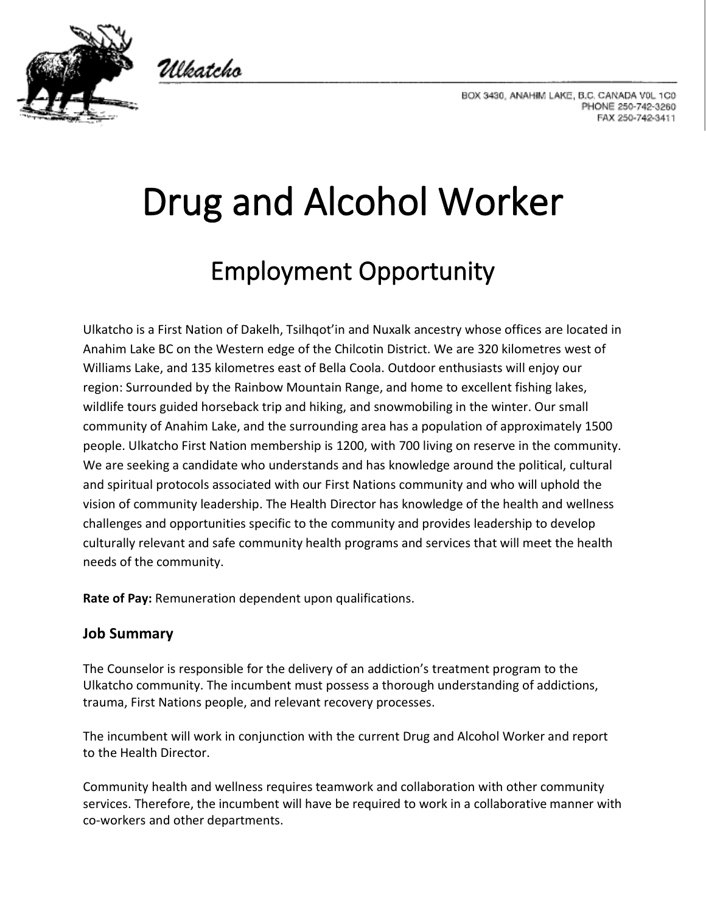

Ulkatcho

BOX 3430, ANAHIM LAKE, B.C. CANADA V0L 1C0 PHONE 250-742-3260 FAX 250-742-3411

# Drug and Alcohol Worker Employment Opportunity

Ulkatcho is a First Nation of Dakelh, Tsilhqot'in and Nuxalk ancestry whose offices are located in Anahim Lake BC on the Western edge of the Chilcotin District. We are 320 kilometres west of Williams Lake, and 135 kilometres east of Bella Coola. Outdoor enthusiasts will enjoy our region: Surrounded by the Rainbow Mountain Range, and home to excellent fishing lakes, wildlife tours guided horseback trip and hiking, and snowmobiling in the winter. Our small community of Anahim Lake, and the surrounding area has a population of approximately 1500 people. Ulkatcho First Nation membership is 1200, with 700 living on reserve in the community. We are seeking a candidate who understands and has knowledge around the political, cultural and spiritual protocols associated with our First Nations community and who will uphold the vision of community leadership. The Health Director has knowledge of the health and wellness challenges and opportunities specific to the community and provides leadership to develop culturally relevant and safe community health programs and services that will meet the health needs of the community.

**Rate of Pay:** Remuneration dependent upon qualifications.

## **Job Summary**

The Counselor is responsible for the delivery of an addiction's treatment program to the Ulkatcho community. The incumbent must possess a thorough understanding of addictions, trauma, First Nations people, and relevant recovery processes.

The incumbent will work in conjunction with the current Drug and Alcohol Worker and report to the Health Director.

Community health and wellness requires teamwork and collaboration with other community services. Therefore, the incumbent will have be required to work in a collaborative manner with co-workers and other departments.